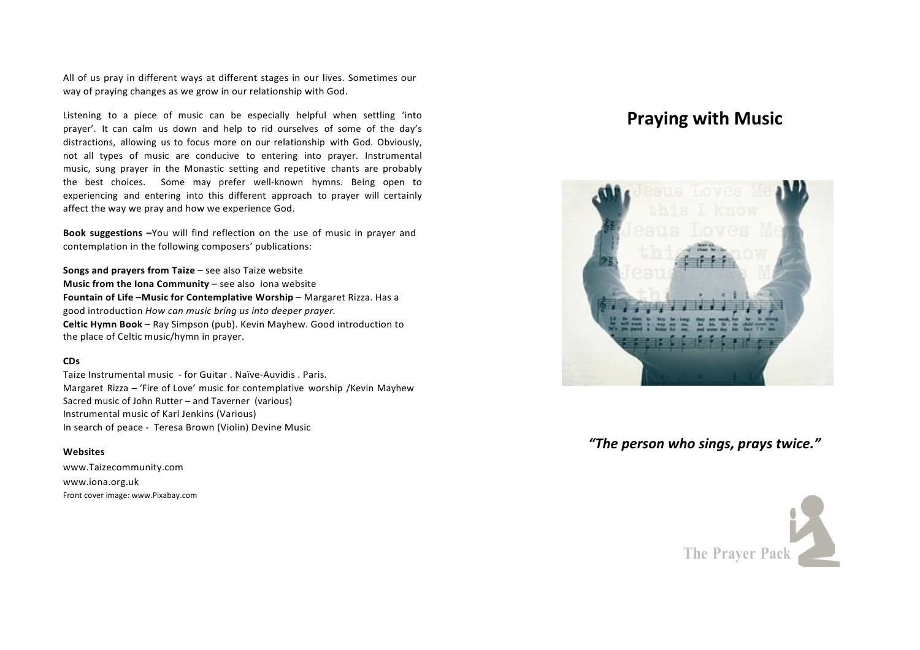All of us pray in different ways at different stages in our lives. Sometimes our way of praying changes as we grow in our relationship with God.

Listening to a piece of music can be especially helpful when settling 'into prayer'. It can calm us down and help to rid ourselves of some of the day's distractions, allowing us to focus more on our relationship with God. Obviously, not all types of music are conducive to entering into prayer. Instrumental music, sung prayer in the Monastic setting and repetitive chants are probably the best choices. Some may prefer well-known hymns. Being open to experiencing and entering into this different approach to prayer will certainly affect the way we pray and how we experience God.

**Book suggestions –**You will find reflection on the use of music in prayer and contemplation in the following composers' publications:

**Songs and prayers from Taize** – see also Taize website **Music from the Iona Community** – see also Iona website Fountain of Life -Music for Contemplative Worship - Margaret Rizza. Has a good introduction *How can music bring us into deeper prayer.* **Celtic Hymn Book** – Ray Simpson (pub). Kevin Mayhew. Good introduction to the place of Celtic music/hymn in prayer.

#### **CDs**

Taize Instrumental music - for Guitar . Naïve-Auvidis . Paris. Margaret Rizza – 'Fire of Love' music for contemplative worship /Kevin Mayhew Sacred music of John Rutter – and Taverner (various) Instrumental music of Karl Jenkins (Various) In search of peace - Teresa Brown (Violin) Devine Music

### **Websites**

www.Taizecommunity.com www.iona.org.uk Front cover image: www.Pixabay.com

# **Praying with Music**



## *"The person who sings, prays twice."*